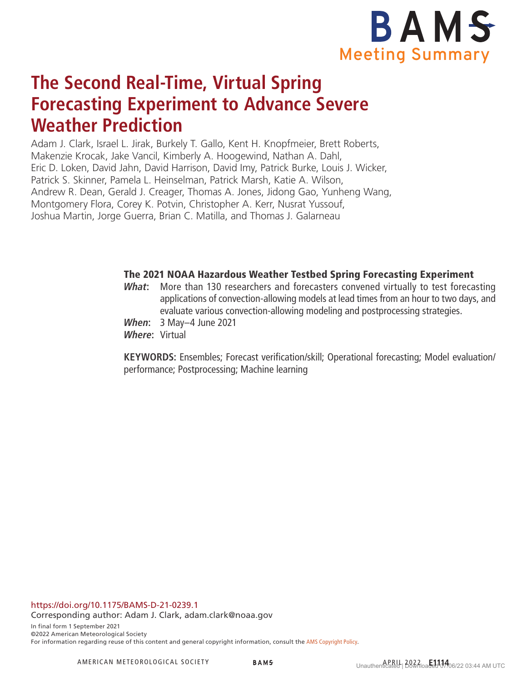

# **The Second Real-Time, Virtual Spring Forecasting Experiment to Advance Severe Weather Prediction**

Adam J. Clark, Israel L. Jirak, Burkely T. Gallo, Kent H. Knopfmeier, Brett Roberts, Makenzie Krocak, Jake Vancil, Kimberly A. Hoogewind, Nathan A. Dahl, Eric D. Loken, David Jahn, David Harrison, David Imy, Patrick Burke, Louis J. Wicker, Patrick S. Skinner, Pamela L. Heinselman, Patrick Marsh, Katie A. Wilson, Andrew R. Dean, Gerald J. Creager, Thomas A. Jones, Jidong Gao, Yunheng Wang, Montgomery Flora, Corey K. Potvin, Christopher A. Kerr, Nusrat Yussouf, Joshua Martin, Jorge Guerra, Brian C. Matilla, and Thomas J. Galarneau

### The 2021 NOAA Hazardous Weather Testbed Spring Forecasting Experiment

- **What:** More than 130 researchers and forecasters convened virtually to test forecasting applications of convection-allowing models at lead times from an hour to two days, and evaluate various convection-allowing modeling and postprocessing strategies.
- **When:** 3 May–4 June 2021
- **Where:** Virtual

**KEYWORDS:** Ensembles; Forecast verification/skill; Operational forecasting; Model evaluation/ performance; Postprocessing; Machine learning

<https://doi.org/10.1175/BAMS-D-21-0239.1>

Corresponding author: Adam J. Clark, adam.clark@noaa.gov

In final form 1 September 2021 ©2022 American Meteorological Society For information regarding reuse of this content and general copyright information, consult the [AMS Copyright Policy](http://www.ametsoc.org/PUBSReuseLicenses).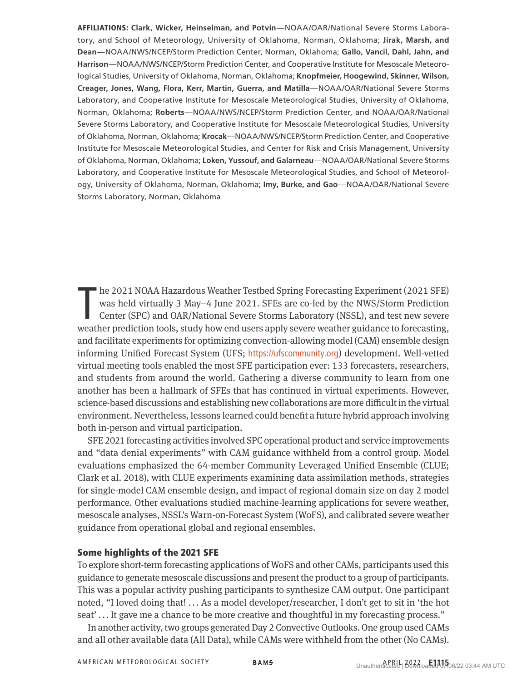AFFILIATIONS: **Clark, Wicker, Heinselman, and Potvin**—NOAA/OAR/National Severe Storms Laboratory, and School of Meteorology, University of Oklahoma, Norman, Oklahoma; **Jirak, Marsh, and Dean**—NOAA/NWS/NCEP/Storm Prediction Center, Norman, Oklahoma; **Gallo, Vancil, Dahl, Jahn, and Harrison**—NOAA/NWS/NCEP/Storm Prediction Center, and Cooperative Institute for Mesoscale Meteorological Studies, University of Oklahoma, Norman, Oklahoma; **Knopfmeier, Hoogewind, Skinner, Wilson, Creager, Jones, Wang, Flora, Kerr, Martin, Guerra, and Matilla**—NOAA/OAR/National Severe Storms Laboratory, and Cooperative Institute for Mesoscale Meteorological Studies, University of Oklahoma, Norman, Oklahoma; **Roberts**—NOAA/NWS/NCEP/Storm Prediction Center, and NOAA/OAR/National Severe Storms Laboratory, and Cooperative Institute for Mesoscale Meteorological Studies, University of Oklahoma, Norman, Oklahoma; **Krocak**—NOAA/NWS/NCEP/Storm Prediction Center, and Cooperative Institute for Mesoscale Meteorological Studies, and Center for Risk and Crisis Management, University of Oklahoma, Norman, Oklahoma; **Loken, Yussouf, and Galarneau**—NOAA/OAR/National Severe Storms Laboratory, and Cooperative Institute for Mesoscale Meteorological Studies, and School of Meteorology, University of Oklahoma, Norman, Oklahoma; **Imy, Burke, and Gao**—NOAA/OAR/National Severe Storms Laboratory, Norman, Oklahoma

he 2021 NOAA Hazardous Weather Testbed Spring Forecasting Experiment (2021 SFE) was held virtually 3 May–4 June 2021. SFEs are co-led by the NWS/Storm Prediction Center (SPC) and OAR/National Severe Storms Laboratory (NSSL he 2021 NOAA Hazardous Weather Testbed Spring Forecasting Experiment (2021 SFE) was held virtually 3 May–4 June 2021. SFEs are co-led by the NWS/Storm Prediction Center (SPC) and OAR/National Severe Storms Laboratory (NSSL), and test new severe and facilitate experiments for optimizing convection-allowing model (CAM) ensemble design informing Unified Forecast System (UFS; <https://ufscommunity.org>) development. Well-vetted virtual meeting tools enabled the most SFE participation ever: 133 forecasters, researchers, and students from around the world. Gathering a diverse community to learn from one another has been a hallmark of SFEs that has continued in virtual experiments. However, science-based discussions and establishing new collaborations are more difficult in the virtual environment. Nevertheless, lessons learned could benefit a future hybrid approach involving both in-person and virtual participation.

SFE 2021 forecasting activities involved SPC operational product and service improvements and "data denial experiments" with CAM guidance withheld from a control group. Model evaluations emphasized the 64-member Community Leveraged Unified Ensemble (CLUE; Clark et al. 2018), with CLUE experiments examining data assimilation methods, strategies for single-model CAM ensemble design, and impact of regional domain size on day 2 model performance. Other evaluations studied machine-learning applications for severe weather, mesoscale analyses, NSSL's Warn-on-Forecast System (WoFS), and calibrated severe weather guidance from operational global and regional ensembles.

#### Some highlights of the 2021 SFE

To explore short-term forecasting applications of WoFS and other CAMs, participants used this guidance to generate mesoscale discussions and present the product to a group of participants. This was a popular activity pushing participants to synthesize CAM output. One participant noted, "I loved doing that! ... As a model developer/researcher, I don't get to sit in 'the hot seat' ... It gave me a chance to be more creative and thoughtful in my forecasting process."

In another activity, two groups generated Day 2 Convective Outlooks. One group used CAMs and all other available data (All Data), while CAMs were withheld from the other (No CAMs).